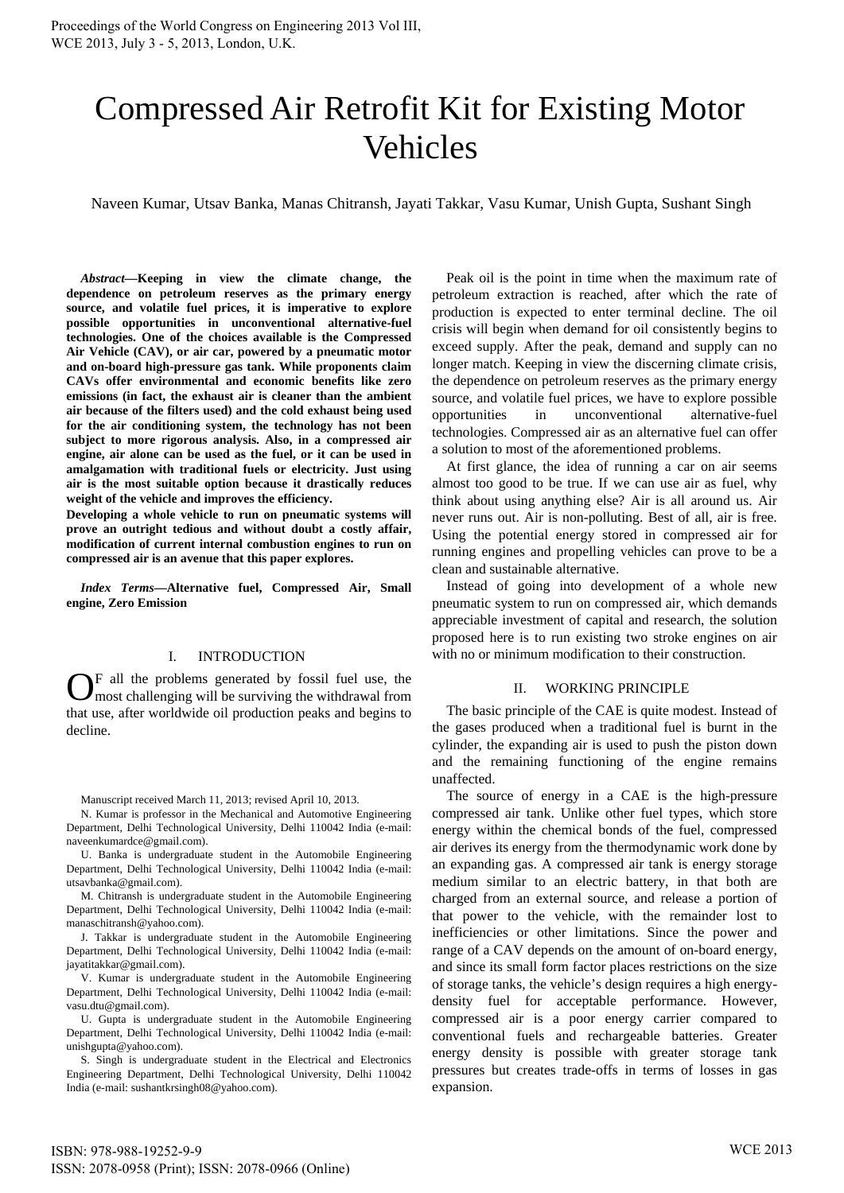# Compressed Air Retrofit Kit for Existing Motor Vehicles

Naveen Kumar, Utsav Banka, Manas Chitransh, Jayati Takkar, Vasu Kumar, Unish Gupta, Sushant Singh

*Abstract—***Keeping in view the climate change, the dependence on petroleum reserves as the primary energy source, and volatile fuel prices, it is imperative to explore possible opportunities in unconventional alternative-fuel technologies. One of the choices available is the Compressed Air Vehicle (CAV), or air car, powered by a pneumatic motor and on-board high-pressure gas tank. While proponents claim CAVs offer environmental and economic benefits like zero emissions (in fact, the exhaust air is cleaner than the ambient air because of the filters used) and the cold exhaust being used for the air conditioning system, the technology has not been subject to more rigorous analysis. Also, in a compressed air engine, air alone can be used as the fuel, or it can be used in amalgamation with traditional fuels or electricity. Just using air is the most suitable option because it drastically reduces weight of the vehicle and improves the efficiency.** 

**Developing a whole vehicle to run on pneumatic systems will prove an outright tedious and without doubt a costly affair, modification of current internal combustion engines to run on compressed air is an avenue that this paper explores.**

*Index Terms***—Alternative fuel, Compressed Air, Small engine, Zero Emission**

# I. INTRODUCTION

 $\mathbf{O}^{\text{F}}$  all the problems generated by fossil fuel use, the most challenging will be surviving the withdrawal from most challenging will be surviving the withdrawal from that use, after worldwide oil production peaks and begins to decline.

Manuscript received March 11, 2013; revised April 10, 2013.

N. Kumar is professor in the Mechanical and Automotive Engineering Department, Delhi Technological University, Delhi 110042 India (e-mail: naveenkumardce@gmail.com).

U. Banka is undergraduate student in the Automobile Engineering Department, Delhi Technological University, Delhi 110042 India (e-mail: utsavbanka@gmail.com).

M. Chitransh is undergraduate student in the Automobile Engineering Department, Delhi Technological University, Delhi 110042 India (e-mail: manaschitransh@yahoo.com).

J. Takkar is undergraduate student in the Automobile Engineering Department, Delhi Technological University, Delhi 110042 India (e-mail: jayatitakkar@gmail.com).

V. Kumar is undergraduate student in the Automobile Engineering Department, Delhi Technological University, Delhi 110042 India (e-mail: vasu.dtu@gmail.com).

U. Gupta is undergraduate student in the Automobile Engineering Department, Delhi Technological University, Delhi 110042 India (e-mail: unishgupta@yahoo.com).

S. Singh is undergraduate student in the Electrical and Electronics Engineering Department, Delhi Technological University, Delhi 110042 India (e-mail: sushantkrsingh08@yahoo.com).

Peak oil is the point in time when the maximum rate of petroleum extraction is reached, after which the rate of production is expected to enter terminal decline. The oil crisis will begin when demand for oil consistently begins to exceed supply. After the peak, demand and supply can no longer match. Keeping in view the discerning climate crisis, the dependence on petroleum reserves as the primary energy source, and volatile fuel prices, we have to explore possible opportunities in unconventional alternative-fuel technologies. Compressed air as an alternative fuel can offer a solution to most of the aforementioned problems.

At first glance, the idea of running a car on air seems almost too good to be true. If we can use air as fuel, why think about using anything else? Air is all around us. Air never runs out. Air is non-polluting. Best of all, air is free. Using the potential energy stored in compressed air for running engines and propelling vehicles can prove to be a clean and sustainable alternative.

Instead of going into development of a whole new pneumatic system to run on compressed air, which demands appreciable investment of capital and research, the solution proposed here is to run existing two stroke engines on air with no or minimum modification to their construction.

#### II. WORKING PRINCIPLE

The basic principle of the CAE is quite modest. Instead of the gases produced when a traditional fuel is burnt in the cylinder, the expanding air is used to push the piston down and the remaining functioning of the engine remains unaffected.

The source of energy in a CAE is the high-pressure compressed air tank. Unlike other fuel types, which store energy within the chemical bonds of the fuel, compressed air derives its energy from the thermodynamic work done by an expanding gas. A compressed air tank is energy storage medium similar to an electric battery, in that both are charged from an external source, and release a portion of that power to the vehicle, with the remainder lost to inefficiencies or other limitations. Since the power and range of a CAV depends on the amount of on-board energy, and since its small form factor places restrictions on the size of storage tanks, the vehicle's design requires a high energydensity fuel for acceptable performance. However, compressed air is a poor energy carrier compared to conventional fuels and rechargeable batteries. Greater energy density is possible with greater storage tank pressures but creates trade-offs in terms of losses in gas expansion.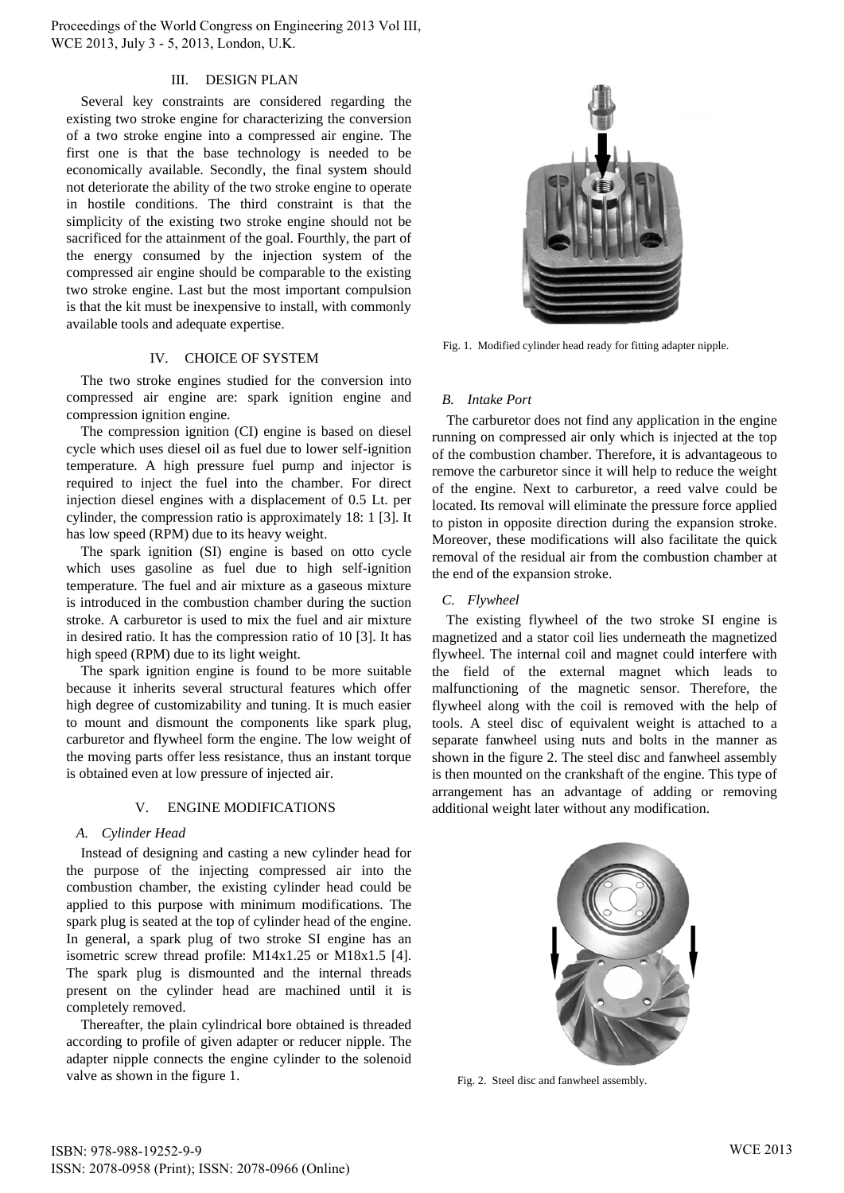### III. DESIGN PLAN

Several key constraints are considered regarding the existing two stroke engine for characterizing the conversion of a two stroke engine into a compressed air engine. The first one is that the base technology is needed to be economically available. Secondly, the final system should not deteriorate the ability of the two stroke engine to operate in hostile conditions. The third constraint is that the simplicity of the existing two stroke engine should not be sacrificed for the attainment of the goal. Fourthly, the part of the energy consumed by the injection system of the compressed air engine should be comparable to the existing two stroke engine. Last but the most important compulsion is that the kit must be inexpensive to install, with commonly available tools and adequate expertise.

## IV. CHOICE OF SYSTEM

The two stroke engines studied for the conversion into compressed air engine are: spark ignition engine and compression ignition engine.

The compression ignition (CI) engine is based on diesel cycle which uses diesel oil as fuel due to lower self-ignition temperature. A high pressure fuel pump and injector is required to inject the fuel into the chamber. For direct injection diesel engines with a displacement of 0.5 Lt. per cylinder, the compression ratio is approximately 18: 1 [3]. It has low speed (RPM) due to its heavy weight.

The spark ignition (SI) engine is based on otto cycle which uses gasoline as fuel due to high self-ignition temperature. The fuel and air mixture as a gaseous mixture is introduced in the combustion chamber during the suction stroke. A carburetor is used to mix the fuel and air mixture in desired ratio. It has the compression ratio of 10 [3]. It has high speed (RPM) due to its light weight.

The spark ignition engine is found to be more suitable because it inherits several structural features which offer high degree of customizability and tuning. It is much easier to mount and dismount the components like spark plug, carburetor and flywheel form the engine. The low weight of the moving parts offer less resistance, thus an instant torque is obtained even at low pressure of injected air.

# V. ENGINE MODIFICATIONS

## *A. Cylinder Head*

Instead of designing and casting a new cylinder head for the purpose of the injecting compressed air into the combustion chamber, the existing cylinder head could be applied to this purpose with minimum modifications. The spark plug is seated at the top of cylinder head of the engine. In general, a spark plug of two stroke SI engine has an isometric screw thread profile: M14x1.25 or M18x1.5 [4]. The spark plug is dismounted and the internal threads present on the cylinder head are machined until it is completely removed.

Thereafter, the plain cylindrical bore obtained is threaded according to profile of given adapter or reducer nipple. The adapter nipple connects the engine cylinder to the solenoid valve as shown in the figure 1.



 Fig. 1. Modified cylinder head ready for fitting adapter nipple.

# *B. Intake Port*

The carburetor does not find any application in the engine running on compressed air only which is injected at the top of the combustion chamber. Therefore, it is advantageous to remove the carburetor since it will help to reduce the weight of the engine. Next to carburetor, a reed valve could be located. Its removal will eliminate the pressure force applied to piston in opposite direction during the expansion stroke. Moreover, these modifications will also facilitate the quick removal of the residual air from the combustion chamber at the end of the expansion stroke.

#### *C. Flywheel*

The existing flywheel of the two stroke SI engine is magnetized and a stator coil lies underneath the magnetized flywheel. The internal coil and magnet could interfere with the field of the external magnet which leads to malfunctioning of the magnetic sensor. Therefore, the flywheel along with the coil is removed with the help of tools. A steel disc of equivalent weight is attached to a separate fanwheel using nuts and bolts in the manner as shown in the figure 2. The steel disc and fanwheel assembly is then mounted on the crankshaft of the engine. This type of arrangement has an advantage of adding or removing additional weight later without any modification.



Fig. 2. Steel disc and fanwheel assembly.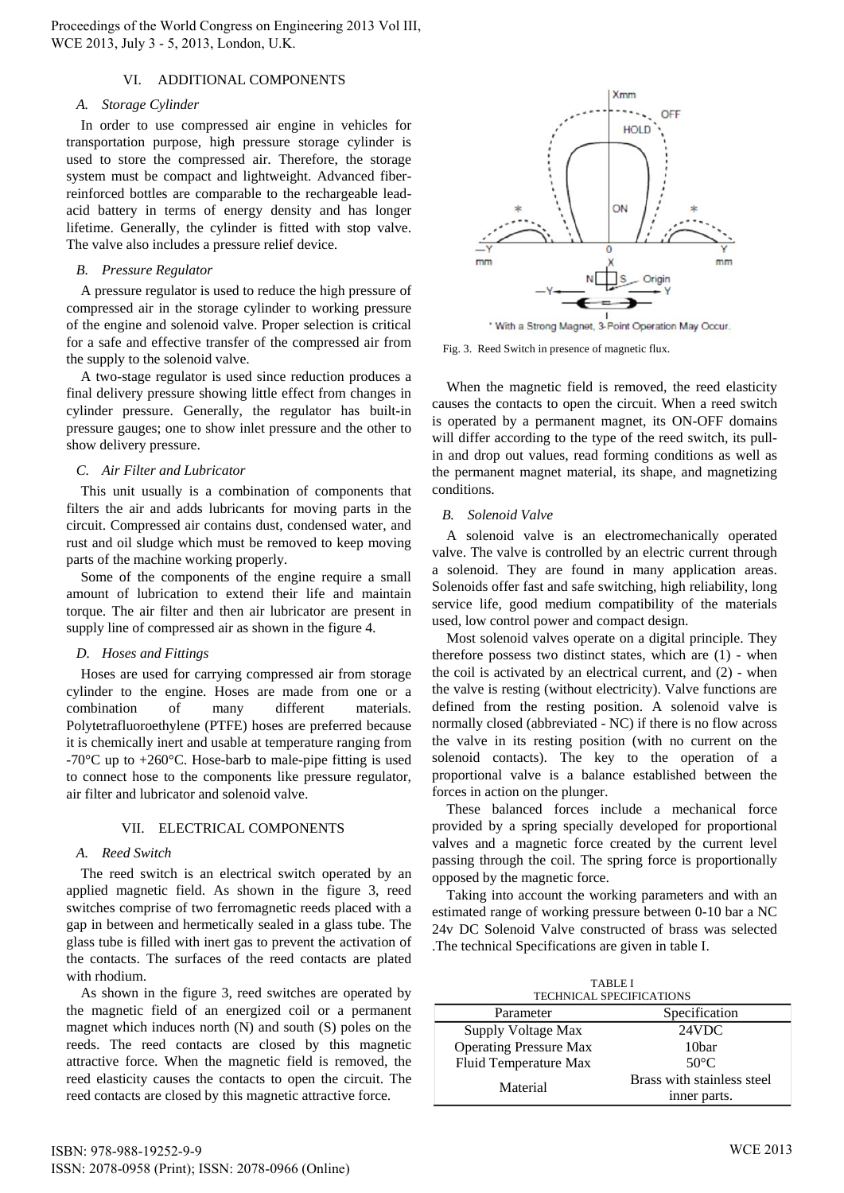### VI. ADDITIONAL COMPONENTS

## *A. Storage Cylinder*

In order to use compressed air engine in vehicles for transportation purpose, high pressure storage cylinder is used to store the compressed air. Therefore, the storage system must be compact and lightweight. Advanced fiberreinforced bottles are comparable to the rechargeable leadacid battery in terms of energy density and has longer lifetime. Generally, the cylinder is fitted with stop valve. The valve also includes a pressure relief device.

# *B. Pressure Regulator*

A pressure regulator is used to reduce the high pressure of compressed air in the storage cylinder to working pressure of the engine and solenoid valve. Proper selection is critical for a safe and effective transfer of the compressed air from the supply to the solenoid valve.

A two-stage regulator is used since reduction produces a final delivery pressure showing little effect from changes in cylinder pressure. Generally, the regulator has built-in pressure gauges; one to show inlet pressure and the other to show delivery pressure.

# *C. Air Filter and Lubricator*

This unit usually is a combination of components that filters the air and adds lubricants for moving parts in the circuit. Compressed air contains dust, condensed water, and rust and oil sludge which must be removed to keep moving parts of the machine working properly.

Some of the components of the engine require a small amount of lubrication to extend their life and maintain torque. The air filter and then air lubricator are present in supply line of compressed air as shown in the figure 4.

# *D. Hoses and Fittings*

Hoses are used for carrying compressed air from storage cylinder to the engine. Hoses are made from one or a combination of many different materials. Polytetrafluoroethylene (PTFE) hoses are preferred because it is chemically inert and usable at temperature ranging from -70 $\degree$ C up to +260 $\degree$ C. Hose-barb to male-pipe fitting is used to connect hose to the components like pressure regulator, air filter and lubricator and solenoid valve.

# VII. ELECTRICAL COMPONENTS

# *A. Reed Switch*

The reed switch is an electrical switch operated by an applied magnetic field. As shown in the figure 3, reed switches comprise of two ferromagnetic reeds placed with a gap in between and hermetically sealed in a glass tube. The glass tube is filled with inert gas to prevent the activation of the contacts. The surfaces of the reed contacts are plated with rhodium.

As shown in the figure 3, reed switches are operated by the magnetic field of an energized coil or a permanent magnet which induces north (N) and south (S) poles on the reeds. The reed contacts are closed by this magnetic attractive force. When the magnetic field is removed, the reed elasticity causes the contacts to open the circuit. The reed contacts are closed by this magnetic attractive force.



\* With a Strong Magnet, 3-Point Operation May Occur.

Fig. 3. Reed Switch in presence of magnetic flux.

When the magnetic field is removed, the reed elasticity causes the contacts to open the circuit. When a reed switch is operated by a permanent magnet, its ON-OFF domains will differ according to the type of the reed switch, its pullin and drop out values, read forming conditions as well as the permanent magnet material, its shape, and magnetizing conditions.

# *B. Solenoid Valve*

A solenoid valve is an electromechanically operated valve. The valve is controlled by an electric current through a solenoid. They are found in many application areas. Solenoids offer fast and safe switching, high reliability, long service life, good medium compatibility of the materials used, low control power and compact design.

Most solenoid valves operate on a digital principle. They therefore possess two distinct states, which are (1) - when the coil is activated by an electrical current, and (2) - when the valve is resting (without electricity). Valve functions are defined from the resting position. A solenoid valve is normally closed (abbreviated - NC) if there is no flow across the valve in its resting position (with no current on the solenoid contacts). The key to the operation of a proportional valve is a balance established between the forces in action on the plunger.

These balanced forces include a mechanical force provided by a spring specially developed for proportional valves and a magnetic force created by the current level passing through the coil. The spring force is proportionally opposed by the magnetic force.

Taking into account the working parameters and with an estimated range of working pressure between 0-10 bar a NC 24v DC Solenoid Valve constructed of brass was selected .The technical Specifications are given in table I.

| <b>TABLE I</b>                  |                            |  |
|---------------------------------|----------------------------|--|
| <b>TECHNICAL SPECIFICATIONS</b> |                            |  |
| Parameter                       | Specification              |  |
| Supply Voltage Max              | 24VDC                      |  |
| <b>Operating Pressure Max</b>   | 10 <sub>bar</sub>          |  |
| Fluid Temperature Max           | $50^{\circ}$ C             |  |
| Material                        | Brass with stainless steel |  |
|                                 | inner parts.               |  |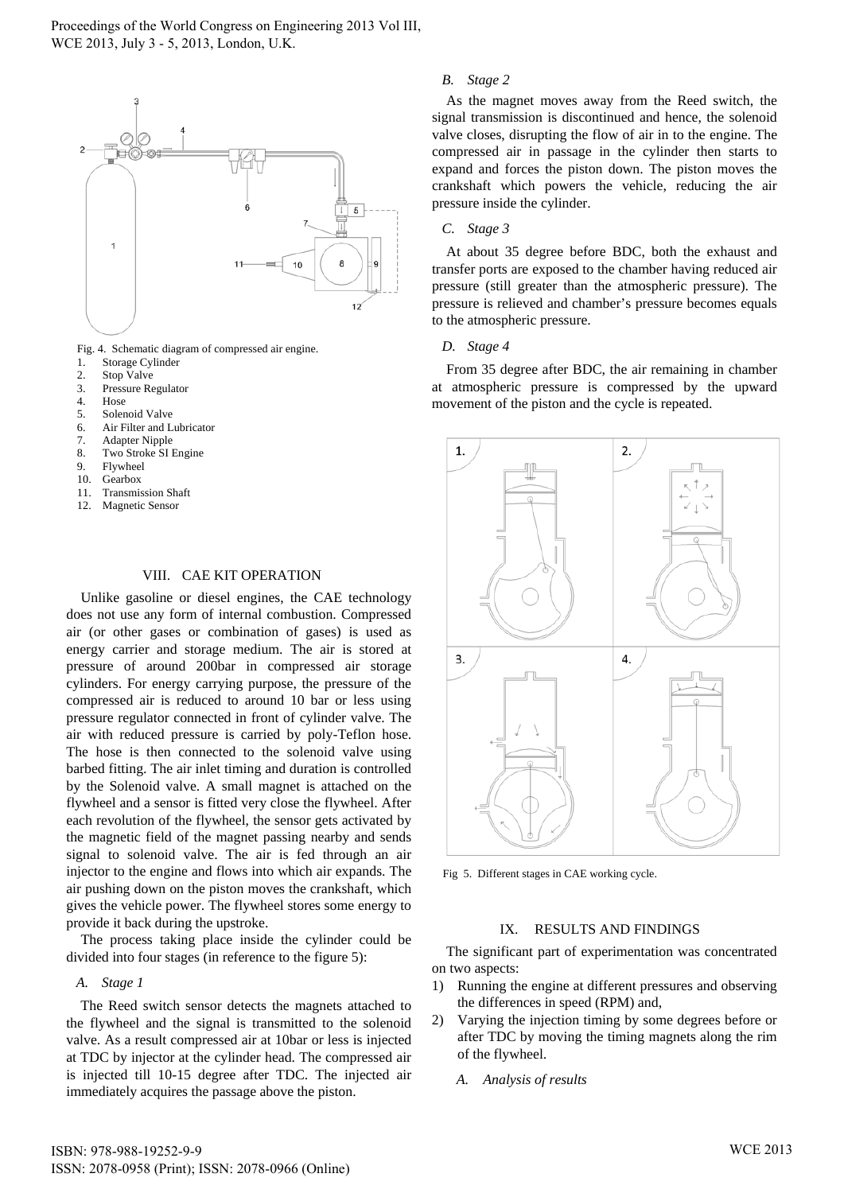

Fig. 4. Schematic diagram of compressed air engine.

- 1. Storage Cylinder
- 2. Stop Valve
- 3. Pressure Regulator
- 4. Hose
- 5. Solenoid Valve
- 6. Air Filter and Lubricator
- 7. Adapter Nipple
- 8. Two Stroke SI Engine
- 9. Flywheel
- 10. Gearbox
- 11. Transmission Shaft
- 12. Magnetic Sensor

#### VIII. CAE KIT OPERATION

Unlike gasoline or diesel engines, the CAE technology does not use any form of internal combustion. Compressed air (or other gases or combination of gases) is used as energy carrier and storage medium. The air is stored at pressure of around 200bar in compressed air storage cylinders. For energy carrying purpose, the pressure of the compressed air is reduced to around 10 bar or less using pressure regulator connected in front of cylinder valve. The air with reduced pressure is carried by poly-Teflon hose. The hose is then connected to the solenoid valve using barbed fitting. The air inlet timing and duration is controlled by the Solenoid valve. A small magnet is attached on the flywheel and a sensor is fitted very close the flywheel. After each revolution of the flywheel, the sensor gets activated by the magnetic field of the magnet passing nearby and sends signal to solenoid valve. The air is fed through an air injector to the engine and flows into which air expands. The air pushing down on the piston moves the crankshaft, which gives the vehicle power. The flywheel stores some energy to provide it back during the upstroke.

The process taking place inside the cylinder could be divided into four stages (in reference to the figure 5):

## *A. Stage 1*

The Reed switch sensor detects the magnets attached to the flywheel and the signal is transmitted to the solenoid valve. As a result compressed air at 10bar or less is injected at TDC by injector at the cylinder head. The compressed air is injected till 10-15 degree after TDC. The injected air immediately acquires the passage above the piston.

## *B. Stage 2*

As the magnet moves away from the Reed switch, the signal transmission is discontinued and hence, the solenoid valve closes, disrupting the flow of air in to the engine. The compressed air in passage in the cylinder then starts to expand and forces the piston down. The piston moves the crankshaft which powers the vehicle, reducing the air pressure inside the cylinder.

#### *C. Stage 3*

At about 35 degree before BDC, both the exhaust and transfer ports are exposed to the chamber having reduced air pressure (still greater than the atmospheric pressure). The pressure is relieved and chamber's pressure becomes equals to the atmospheric pressure.

#### *D. Stage 4*

From 35 degree after BDC, the air remaining in chamber at atmospheric pressure is compressed by the upward movement of the piston and the cycle is repeated.



Fig 5. Different stages in CAE working cycle.

#### IX. RESULTS AND FINDINGS

The significant part of experimentation was concentrated on two aspects:

- 1) Running the engine at different pressures and observing the differences in speed (RPM) and,
- 2) Varying the injection timing by some degrees before or after TDC by moving the timing magnets along the rim of the flywheel.
	- *A. Analysis of results*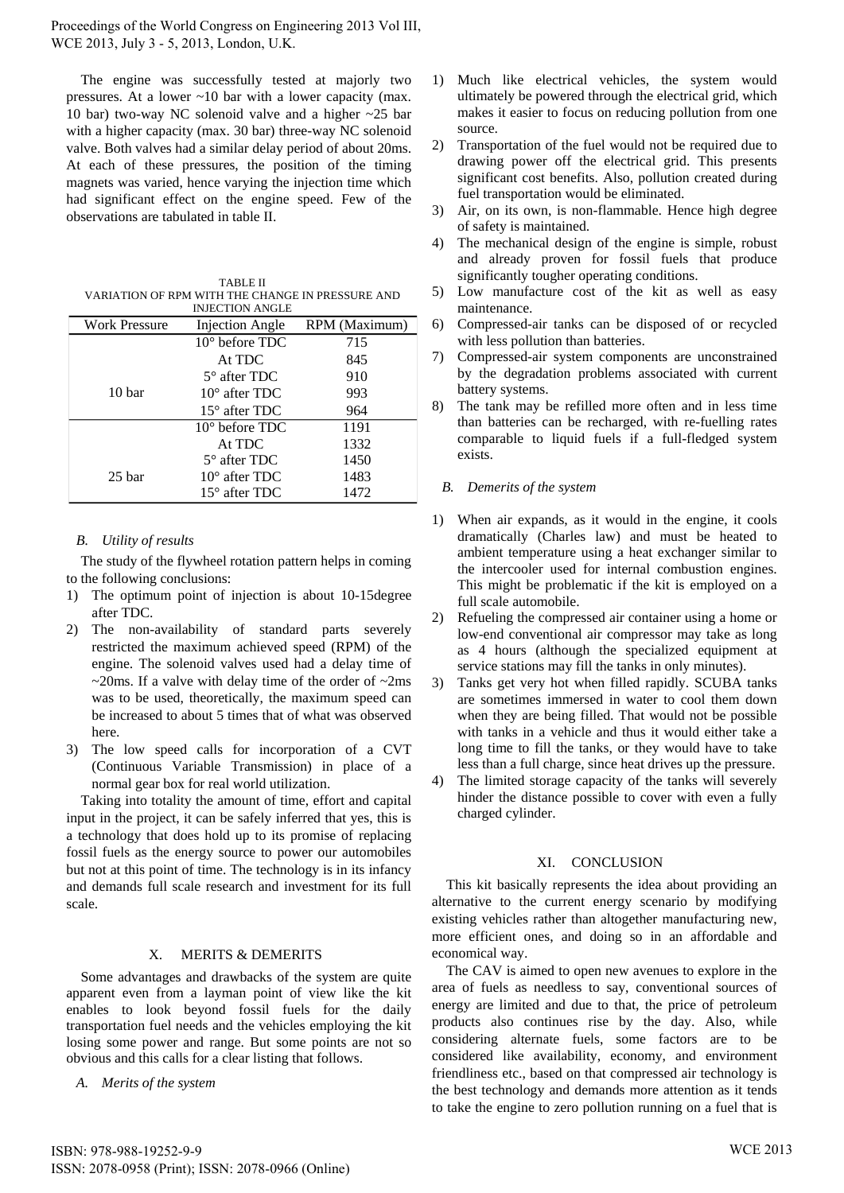The engine was successfully tested at majorly two pressures. At a lower ~10 bar with a lower capacity (max. 10 bar) two-way NC solenoid valve and a higher ~25 bar with a higher capacity (max. 30 bar) three-way NC solenoid valve. Both valves had a similar delay period of about 20ms. At each of these pressures, the position of the timing magnets was varied, hence varying the injection time which had significant effect on the engine speed. Few of the observations are tabulated in table II.

TABLE II VARIATION OF RPM WITH THE CHANGE IN PRESSURE AND INJECTION ANGLE

| 1132 C LION ANOLL    |                         |               |
|----------------------|-------------------------|---------------|
| <b>Work Pressure</b> | Injection Angle         | RPM (Maximum) |
|                      | $10^{\circ}$ before TDC | 715           |
|                      | At TDC                  | 845           |
|                      | $5^\circ$ after TDC     | 910           |
| 10 bar               | $10^{\circ}$ after TDC  | 993           |
|                      | $15^{\circ}$ after TDC  | 964           |
|                      | $10^{\circ}$ before TDC | 1191          |
|                      | At TDC                  | 1332          |
|                      | $5^\circ$ after TDC     | 1450          |
| 25 <sub>bar</sub>    | $10^{\circ}$ after TDC  | 1483          |
|                      | $15^{\circ}$ after TDC  | 1472          |

# *B. Utility of results*

The study of the flywheel rotation pattern helps in coming to the following conclusions:

- 1) The optimum point of injection is about 10-15degree after TDC.
- 2) The non-availability of standard parts severely restricted the maximum achieved speed (RPM) of the engine. The solenoid valves used had a delay time of  $\sim$ 20ms. If a valve with delay time of the order of  $\sim$ 2ms was to be used, theoretically, the maximum speed can be increased to about 5 times that of what was observed here.
- 3) The low speed calls for incorporation of a CVT (Continuous Variable Transmission) in place of a normal gear box for real world utilization.

Taking into totality the amount of time, effort and capital input in the project, it can be safely inferred that yes, this is a technology that does hold up to its promise of replacing fossil fuels as the energy source to power our automobiles but not at this point of time. The technology is in its infancy and demands full scale research and investment for its full scale.

# X. MERITS & DEMERITS

Some advantages and drawbacks of the system are quite apparent even from a layman point of view like the kit enables to look beyond fossil fuels for the daily transportation fuel needs and the vehicles employing the kit losing some power and range. But some points are not so obvious and this calls for a clear listing that follows.

*A. Merits of the system*

- 1) Much like electrical vehicles, the system would ultimately be powered through the electrical grid, which makes it easier to focus on reducing pollution from one source.
- 2) Transportation of the fuel would not be required due to drawing power off the electrical grid. This presents significant cost benefits. Also, pollution created during fuel transportation would be eliminated.
- 3) Air, on its own, is non-flammable. Hence high degree of safety is maintained.
- 4) The mechanical design of the engine is simple, robust and already proven for fossil fuels that produce significantly tougher operating conditions.
- 5) Low manufacture cost of the kit as well as easy maintenance.
- 6) Compressed-air tanks can be disposed of or recycled with less pollution than batteries.
- 7) Compressed-air system components are unconstrained by the degradation problems associated with current battery systems.
- The tank may be refilled more often and in less time than batteries can be recharged, with re-fuelling rates comparable to liquid fuels if a full-fledged system exists.

#### *B. Demerits of the system*

- 1) When air expands, as it would in the engine, it cools dramatically (Charles law) and must be heated to ambient temperature using a heat exchanger similar to the intercooler used for internal combustion engines. This might be problematic if the kit is employed on a full scale automobile.
- 2) Refueling the compressed air container using a home or low-end conventional air compressor may take as long as 4 hours (although the specialized equipment at service stations may fill the tanks in only minutes).
- 3) Tanks get very hot when filled rapidly. SCUBA tanks are sometimes immersed in water to cool them down when they are being filled. That would not be possible with tanks in a vehicle and thus it would either take a long time to fill the tanks, or they would have to take less than a full charge, since heat drives up the pressure.
- 4) The limited storage capacity of the tanks will severely hinder the distance possible to cover with even a fully charged cylinder.

## XI. CONCLUSION

This kit basically represents the idea about providing an alternative to the current energy scenario by modifying existing vehicles rather than altogether manufacturing new, more efficient ones, and doing so in an affordable and economical way.

The CAV is aimed to open new avenues to explore in the area of fuels as needless to say, conventional sources of energy are limited and due to that, the price of petroleum products also continues rise by the day. Also, while considering alternate fuels, some factors are to be considered like availability, economy, and environment friendliness etc., based on that compressed air technology is the best technology and demands more attention as it tends to take the engine to zero pollution running on a fuel that is